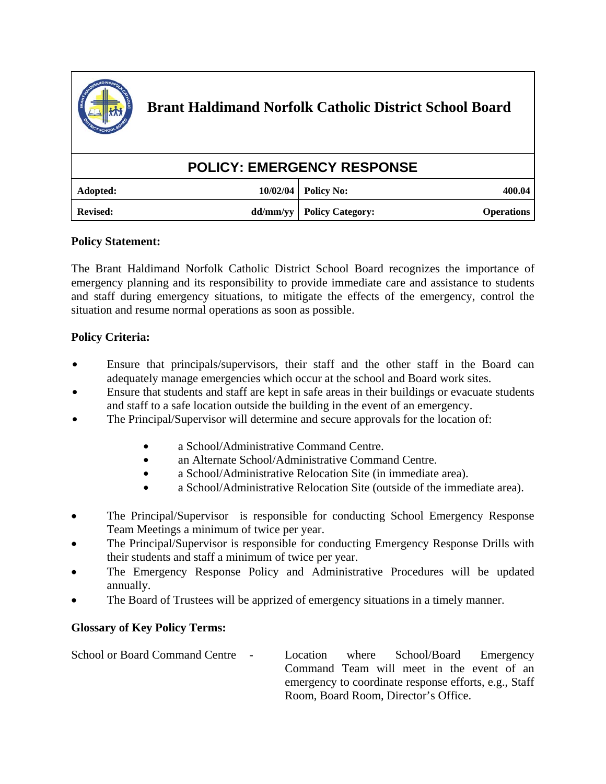

| <b>POLICY: EMERGENCY RESPONSE</b> |  |                             |                   |
|-----------------------------------|--|-----------------------------|-------------------|
| Adopted:                          |  | $10/02/04$ Policy No:       | 400.04            |
| <b>Revised:</b>                   |  | dd/mm/yy   Policy Category: | <b>Operations</b> |

## **Policy Statement:**

The Brant Haldimand Norfolk Catholic District School Board recognizes the importance of emergency planning and its responsibility to provide immediate care and assistance to students and staff during emergency situations, to mitigate the effects of the emergency, control the situation and resume normal operations as soon as possible.

## **Policy Criteria:**

- Ensure that principals/supervisors, their staff and the other staff in the Board can adequately manage emergencies which occur at the school and Board work sites.
- Ensure that students and staff are kept in safe areas in their buildings or evacuate students and staff to a safe location outside the building in the event of an emergency.
- The Principal/Supervisor will determine and secure approvals for the location of:
	- a School/Administrative Command Centre.
	- an Alternate School/Administrative Command Centre.
	- a School/Administrative Relocation Site (in immediate area).
	- a School/Administrative Relocation Site (outside of the immediate area).
- The Principal/Supervisor is responsible for conducting School Emergency Response Team Meetings a minimum of twice per year.
- The Principal/Supervisor is responsible for conducting Emergency Response Drills with their students and staff a minimum of twice per year.
- The Emergency Response Policy and Administrative Procedures will be updated annually.
- The Board of Trustees will be apprized of emergency situations in a timely manner.

## **Glossary of Key Policy Terms:**

School or Board Command Centre - Location where School/Board Emergency Command Team will meet in the event of an emergency to coordinate response efforts, e.g., Staff Room, Board Room, Director's Office.